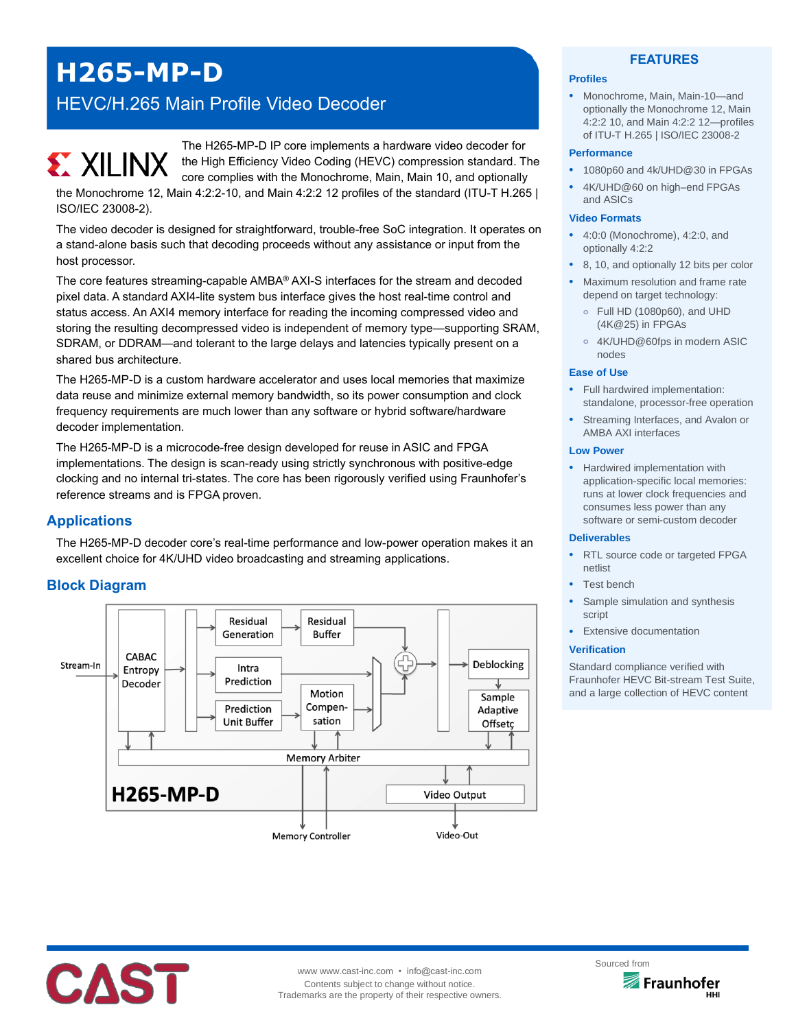# **H265-MP-D**

## HEVC/H.265 Main Profile Video Decoder

The H265-MP-D IP core implements a hardware video decoder for **EX XILINX** the High Efficiency Video Coding (HEVC) compression standard. The core complies with the Monochrome, Main, Main 10, and optionally the Monochrome 12, Main 4:2:2-10, and Main 4:2:2 12 profiles of the standard (ITU-T H.265 | ISO/IEC 23008-2).

The video decoder is designed for straightforward, trouble-free SoC integration. It operates on a stand-alone basis such that decoding proceeds without any assistance or input from the host processor.

The core features streaming-capable AMBA® AXI-S interfaces for the stream and decoded pixel data. A standard AXI4-lite system bus interface gives the host real-time control and status access. An AXI4 memory interface for reading the incoming compressed video and storing the resulting decompressed video is independent of memory type—supporting SRAM, SDRAM, or DDRAM—and tolerant to the large delays and latencies typically present on a shared bus architecture.

The H265-MP-D is a custom hardware accelerator and uses local memories that maximize data reuse and minimize external memory bandwidth, so its power consumption and clock frequency requirements are much lower than any software or hybrid software/hardware decoder implementation.

The H265-MP-D is a microcode-free design developed for reuse in ASIC and FPGA implementations. The design is scan-ready using strictly synchronous with positive-edge clocking and no internal tri-states. The core has been rigorously verified using Fraunhofer's reference streams and is FPGA proven.

## **Applications**

The H265-MP-D decoder core's real-time performance and low-power operation makes it an excellent choice for 4K/UHD video broadcasting and streaming applications.

## **Block Diagram**



#### **FEATURES**

#### **Profiles**

• Monochrome, Main, Main-10—and optionally the Monochrome 12, Main 4:2:2 10, and Main 4:2:2 12—profiles of ITU-T H.265 | ISO/IEC 23008-2

#### **Performance**

- 1080p60 and 4k/UHD@30 in FPGAs
- 4K/UHD@60 on high–end FPGAs and ASICs

#### **Video Formats**

- 4:0:0 (Monochrome), 4:2:0, and optionally 4:2:2
- 8, 10, and optionally 12 bits per color
- Maximum resolution and frame rate depend on target technology:
	- **o** Full HD (1080p60), and UHD (4K@25) in FPGAs
	- **o** 4K/UHD@60fps in modern ASIC nodes

#### **Ease of Use**

- Full hardwired implementation: standalone, processor-free operation
- Streaming Interfaces, and Avalon or AMBA AXI interfaces

#### **Low Power**

• Hardwired implementation with application-specific local memories: runs at lower clock frequencies and consumes less power than any software or semi-custom decoder

#### **Deliverables**

- RTL source code or targeted FPGA netlist
- Test bench
- Sample simulation and synthesis script
- **Extensive documentation**

#### **Verification**

Standard compliance verified with Fraunhofer HEVC Bit-stream Test Suite, and a large collection of HEVC content



www www.cast-inc.com • info@cast-inc.com Contents subject to change without notice. Trademarks are the property of their respective owners.